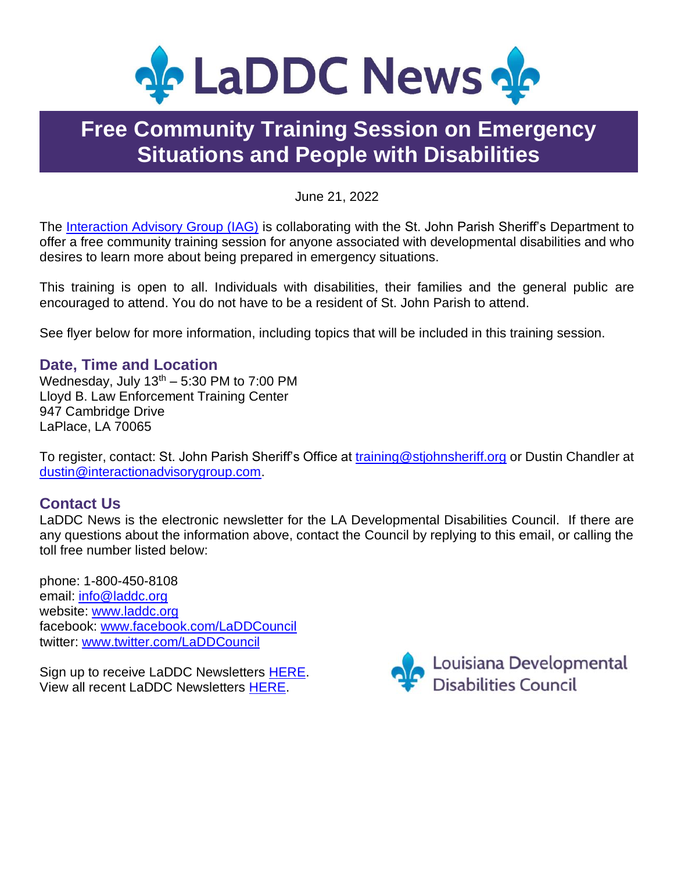

### **Free Community Training Session on Emergency Situations and People with Disabilities**

June 21, 2022

The [Interaction Advisory Group \(IAG\)](https://www.interactionadvisorygroup.com/) is collaborating with the St. John Parish Sheriff's Department to offer a free community training session for anyone associated with developmental disabilities and who desires to learn more about being prepared in emergency situations.

This training is open to all. Individuals with disabilities, their families and the general public are encouraged to attend. You do not have to be a resident of St. John Parish to attend.

See flyer below for more information, including topics that will be included in this training session.

#### **Date, Time and Location**

Wednesday, July  $13<sup>th</sup> - 5:30$  PM to 7:00 PM Lloyd B. Law Enforcement Training Center 947 Cambridge Drive LaPlace, LA 70065

To register, contact: St. John Parish Sheriff's Office at [training@stjohnsheriff.org](mailto:training@stjohnsheriff.org) or Dustin Chandler at [dustin@interactionadvisorygroup.com.](mailto:dustin@interactionadvisorygroup.com)

### **Contact Us**

LaDDC News is the electronic newsletter for the LA Developmental Disabilities Council. If there are any questions about the information above, contact the Council by replying to this email, or calling the toll free number listed below:

phone: 1-800-450-8108 email: [info@laddc.org](mailto:info@laddc.org) website: [www.laddc.org](http://www.laddc.org/) facebook: [www.facebook.com/LaDDCouncil](http://www.facebook.com/LaDDCouncil)  twitter: [www.twitter.com/LaDDCouncil](http://www.twitter.com/LaDDCouncil)

Sign up to receive LaDDC Newsletters [HERE.](https://visitor.r20.constantcontact.com/manage/optin?v=001LTtybXlN8uB-eAm9IIl93in5MHHZ18SZqn0ggMztlIikrx_mgNPtjJUwNhZdMCYxnJbjkDPhhufvNiIxVCipSeyYQ8OMJjTIlqCu8MPg6bU%3D) View all recent LaDDC Newsletters [HERE.](https://laddc.org/news/)